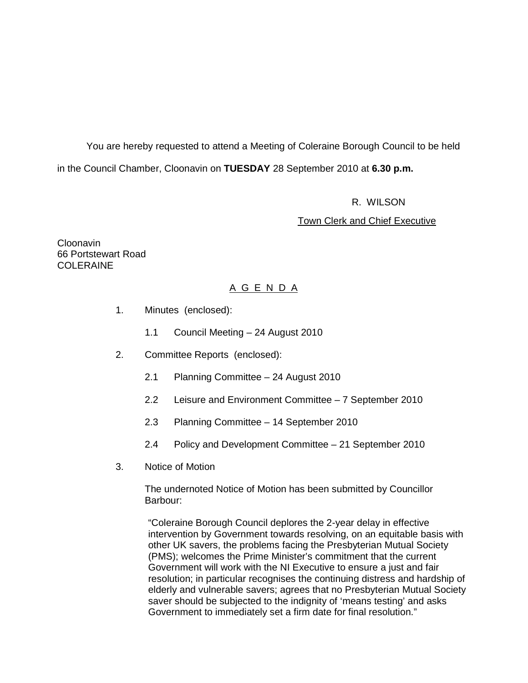You are hereby requested to attend a Meeting of Coleraine Borough Council to be held in the Council Chamber, Cloonavin on **TUESDAY** 28 September 2010 at **6.30 p.m.** 

R. WILSON

Town Clerk and Chief Executive

Cloonavin 66 Portstewart Road COLERAINE

# A G E N D A

- 1. Minutes (enclosed):
	- 1.1 Council Meeting 24 August 2010
- 2. Committee Reports (enclosed):
	- 2.1 Planning Committee 24 August 2010
	- 2.2 Leisure and Environment Committee 7 September 2010
	- 2.3 Planning Committee 14 September 2010
	- 2.4 Policy and Development Committee 21 September 2010
- 3. Notice of Motion

 The undernoted Notice of Motion has been submitted by Councillor Barbour:

"Coleraine Borough Council deplores the 2-year delay in effective intervention by Government towards resolving, on an equitable basis with other UK savers, the problems facing the Presbyterian Mutual Society (PMS); welcomes the Prime Minister's commitment that the current Government will work with the NI Executive to ensure a just and fair resolution; in particular recognises the continuing distress and hardship of elderly and vulnerable savers; agrees that no Presbyterian Mutual Society saver should be subjected to the indignity of 'means testing' and asks Government to immediately set a firm date for final resolution."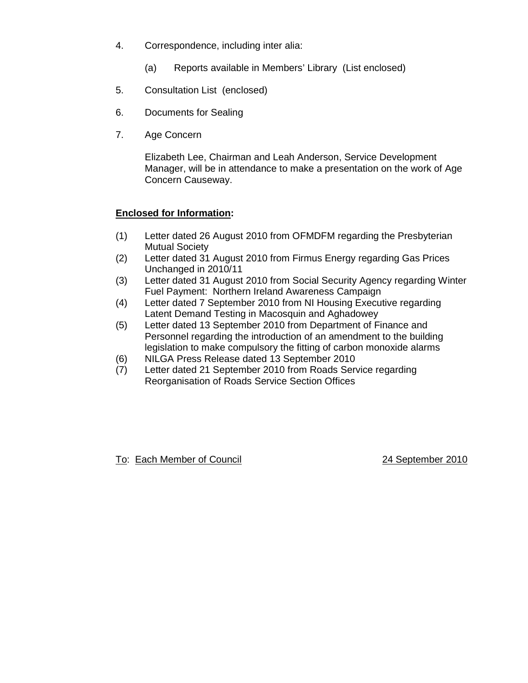- 4. Correspondence, including inter alia:
	- (a) Reports available in Members' Library (List enclosed)
- 5. Consultation List (enclosed)
- 6. Documents for Sealing
- 7. Age Concern

Elizabeth Lee, Chairman and Leah Anderson, Service Development Manager, will be in attendance to make a presentation on the work of Age Concern Causeway.

# **Enclosed for Information:**

- (1) Letter dated 26 August 2010 from OFMDFM regarding the Presbyterian Mutual Society
- (2) Letter dated 31 August 2010 from Firmus Energy regarding Gas Prices Unchanged in 2010/11
- (3) Letter dated 31 August 2010 from Social Security Agency regarding Winter Fuel Payment: Northern Ireland Awareness Campaign
- (4) Letter dated 7 September 2010 from NI Housing Executive regarding Latent Demand Testing in Macosquin and Aghadowey
- (5) Letter dated 13 September 2010 from Department of Finance and Personnel regarding the introduction of an amendment to the building legislation to make compulsory the fitting of carbon monoxide alarms
- (6) NILGA Press Release dated 13 September 2010
- (7) Letter dated 21 September 2010 from Roads Service regarding Reorganisation of Roads Service Section Offices

To: Each Member of Council 24 September 2010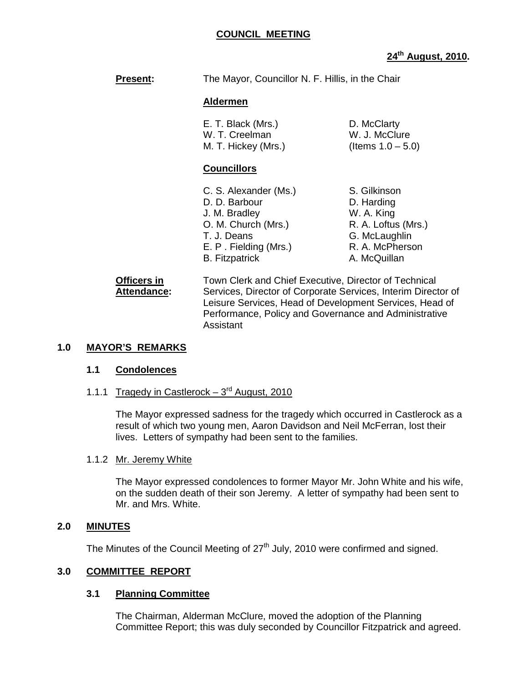## **COUNCIL MEETING**

# **24th August, 2010.**

**Present:** The Mayor, Councillor N. F. Hillis, in the Chair

#### **Aldermen**

| E. T. Black (Mrs.)  | D. McClarty          |
|---------------------|----------------------|
| W. T. Creelman      | W. J. McClure        |
| M. T. Hickey (Mrs.) | (Items $1.0 - 5.0$ ) |

#### **Councillors**

| C. S. Alexander (Ms.) | S. Gilkinson        |
|-----------------------|---------------------|
| D. D. Barbour         | D. Harding          |
| J. M. Bradley         | W. A. King          |
| O. M. Church (Mrs.)   | R. A. Loftus (Mrs.) |
| T. J. Deans           | G. McLaughlin       |
| E. P. Fielding (Mrs.) | R. A. McPherson     |
| <b>B.</b> Fitzpatrick | A. McQuillan        |

#### **Officers in Town Clerk and Chief Executive, Director of Technical Attendance:** Services, Director of Corporate Services, Interim Director of Leisure Services, Head of Development Services, Head of Performance, Policy and Governance and Administrative Assistant

#### **1.0 MAYOR'S REMARKS**

#### **1.1 Condolences**

1.1.1 Tragedy in Castlerock  $-3<sup>rd</sup>$  August, 2010

The Mayor expressed sadness for the tragedy which occurred in Castlerock as a result of which two young men, Aaron Davidson and Neil McFerran, lost their lives. Letters of sympathy had been sent to the families.

#### 1.1.2 Mr. Jeremy White

The Mayor expressed condolences to former Mayor Mr. John White and his wife, on the sudden death of their son Jeremy. A letter of sympathy had been sent to Mr. and Mrs. White.

#### **2.0 MINUTES**

The Minutes of the Council Meeting of 27<sup>th</sup> July, 2010 were confirmed and signed.

#### **3.0 COMMITTEE REPORT**

#### **3.1 Planning Committee**

The Chairman, Alderman McClure, moved the adoption of the Planning Committee Report; this was duly seconded by Councillor Fitzpatrick and agreed.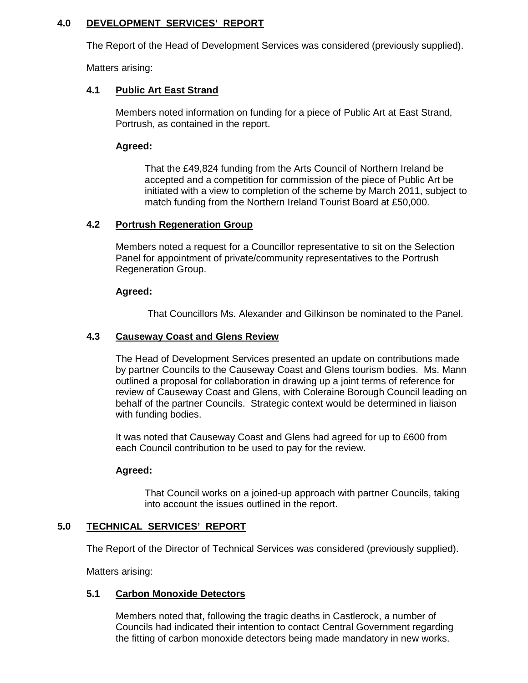## **4.0 DEVELOPMENT SERVICES' REPORT**

The Report of the Head of Development Services was considered (previously supplied).

Matters arising:

## **4.1 Public Art East Strand**

Members noted information on funding for a piece of Public Art at East Strand, Portrush, as contained in the report.

## **Agreed:**

 That the £49,824 funding from the Arts Council of Northern Ireland be accepted and a competition for commission of the piece of Public Art be initiated with a view to completion of the scheme by March 2011, subject to match funding from the Northern Ireland Tourist Board at £50,000.

## **4.2 Portrush Regeneration Group**

Members noted a request for a Councillor representative to sit on the Selection Panel for appointment of private/community representatives to the Portrush Regeneration Group.

## **Agreed:**

That Councillors Ms. Alexander and Gilkinson be nominated to the Panel.

## **4.3 Causeway Coast and Glens Review**

The Head of Development Services presented an update on contributions made by partner Councils to the Causeway Coast and Glens tourism bodies. Ms. Mann outlined a proposal for collaboration in drawing up a joint terms of reference for review of Causeway Coast and Glens, with Coleraine Borough Council leading on behalf of the partner Councils. Strategic context would be determined in liaison with funding bodies.

It was noted that Causeway Coast and Glens had agreed for up to £600 from each Council contribution to be used to pay for the review.

# **Agreed:**

 That Council works on a joined-up approach with partner Councils, taking into account the issues outlined in the report.

# **5.0 TECHNICAL SERVICES' REPORT**

The Report of the Director of Technical Services was considered (previously supplied).

Matters arising:

# **5.1 Carbon Monoxide Detectors**

Members noted that, following the tragic deaths in Castlerock, a number of Councils had indicated their intention to contact Central Government regarding the fitting of carbon monoxide detectors being made mandatory in new works.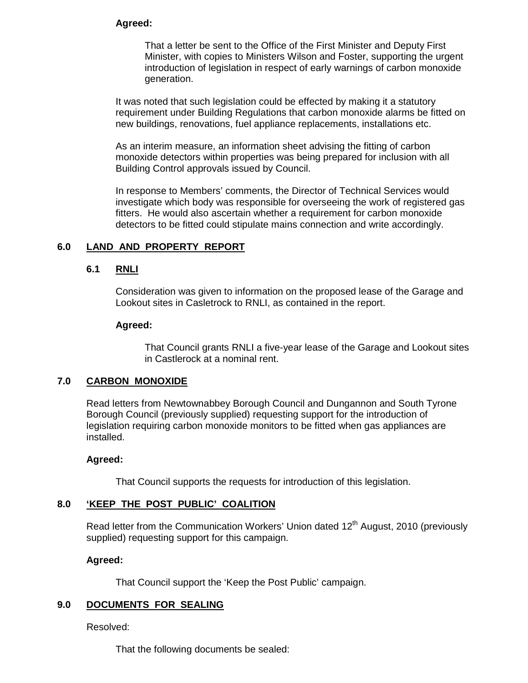#### **Agreed:**

 That a letter be sent to the Office of the First Minister and Deputy First Minister, with copies to Ministers Wilson and Foster, supporting the urgent introduction of legislation in respect of early warnings of carbon monoxide generation.

It was noted that such legislation could be effected by making it a statutory requirement under Building Regulations that carbon monoxide alarms be fitted on new buildings, renovations, fuel appliance replacements, installations etc.

As an interim measure, an information sheet advising the fitting of carbon monoxide detectors within properties was being prepared for inclusion with all Building Control approvals issued by Council.

In response to Members' comments, the Director of Technical Services would investigate which body was responsible for overseeing the work of registered gas fitters. He would also ascertain whether a requirement for carbon monoxide detectors to be fitted could stipulate mains connection and write accordingly.

#### **6.0 LAND AND PROPERTY REPORT**

#### **6.1 RNLI**

 Consideration was given to information on the proposed lease of the Garage and Lookout sites in Casletrock to RNLI, as contained in the report.

#### **Agreed:**

That Council grants RNLI a five-year lease of the Garage and Lookout sites in Castlerock at a nominal rent.

#### **7.0 CARBON MONOXIDE**

 Read letters from Newtownabbey Borough Council and Dungannon and South Tyrone Borough Council (previously supplied) requesting support for the introduction of legislation requiring carbon monoxide monitors to be fitted when gas appliances are installed.

#### **Agreed:**

That Council supports the requests for introduction of this legislation.

#### **8.0 'KEEP THE POST PUBLIC' COALITION**

Read letter from the Communication Workers' Union dated 12<sup>th</sup> August, 2010 (previously supplied) requesting support for this campaign.

#### **Agreed:**

That Council support the 'Keep the Post Public' campaign.

#### **9.0 DOCUMENTS FOR SEALING**

Resolved:

That the following documents be sealed: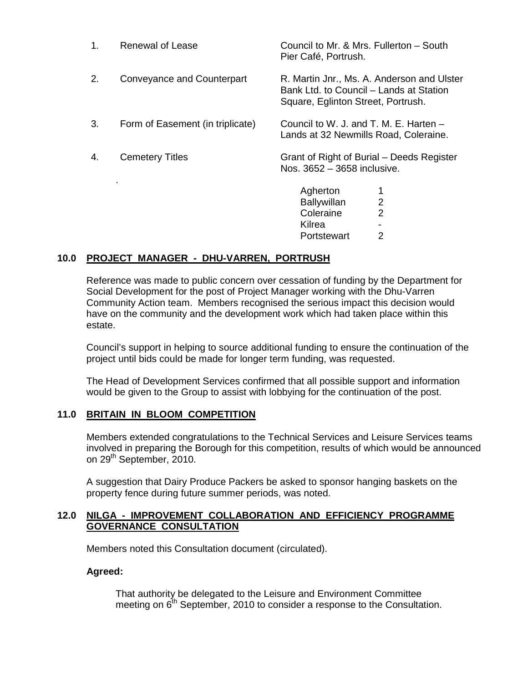| 1. | <b>Renewal of Lease</b>          | Council to Mr. & Mrs. Fullerton - South<br>Pier Café, Portrush.                                                             |  |
|----|----------------------------------|-----------------------------------------------------------------------------------------------------------------------------|--|
| 2. | Conveyance and Counterpart       | R. Martin Jnr., Ms. A. Anderson and Ulster<br>Bank Ltd. to Council - Lands at Station<br>Square, Eglinton Street, Portrush. |  |
| 3. | Form of Easement (in triplicate) | Council to W. J. and T. M. E. Harten -<br>Lands at 32 Newmills Road, Coleraine.                                             |  |
| 4. | <b>Cemetery Titles</b>           | Grant of Right of Burial – Deeds Register<br>Nos. 3652 - 3658 inclusive.                                                    |  |
|    |                                  | Agherton<br>2<br><b>Ballywillan</b><br>$\overline{2}$<br>Coleraine<br>Kilrea                                                |  |

#### **10.0 PROJECT MANAGER - DHU-VARREN, PORTRUSH**

Reference was made to public concern over cessation of funding by the Department for Social Development for the post of Project Manager working with the Dhu-Varren Community Action team. Members recognised the serious impact this decision would have on the community and the development work which had taken place within this estate.

Portstewart 2

Council's support in helping to source additional funding to ensure the continuation of the project until bids could be made for longer term funding, was requested.

The Head of Development Services confirmed that all possible support and information would be given to the Group to assist with lobbying for the continuation of the post.

#### **11.0 BRITAIN IN BLOOM COMPETITION**

Members extended congratulations to the Technical Services and Leisure Services teams involved in preparing the Borough for this competition, results of which would be announced on 29<sup>th</sup> September, 2010.

A suggestion that Dairy Produce Packers be asked to sponsor hanging baskets on the property fence during future summer periods, was noted.

#### **12.0 NILGA - IMPROVEMENT COLLABORATION AND EFFICIENCY PROGRAMME GOVERNANCE CONSULTATION**

Members noted this Consultation document (circulated).

#### **Agreed:**

That authority be delegated to the Leisure and Environment Committee meeting on 6<sup>th</sup> September, 2010 to consider a response to the Consultation.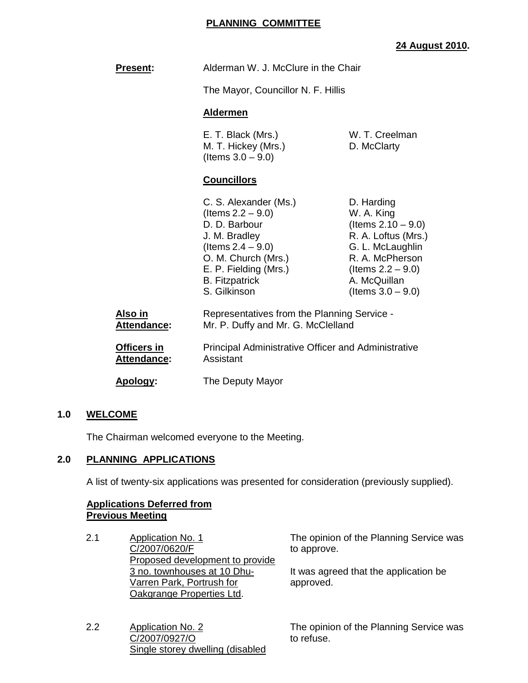# **PLANNING COMMITTEE**

# **24 August 2010.**

| <b>Present:</b>               | Alderman W. J. McClure in the Chair                                                                                                                                                              |                                                                                                                                                                                 |
|-------------------------------|--------------------------------------------------------------------------------------------------------------------------------------------------------------------------------------------------|---------------------------------------------------------------------------------------------------------------------------------------------------------------------------------|
|                               | The Mayor, Councillor N. F. Hillis                                                                                                                                                               |                                                                                                                                                                                 |
|                               | <b>Aldermen</b>                                                                                                                                                                                  |                                                                                                                                                                                 |
|                               | E. T. Black (Mrs.)<br>M. T. Hickey (Mrs.)<br>(Items $3.0 - 9.0$ )                                                                                                                                | W. T. Creelman<br>D. McClarty                                                                                                                                                   |
|                               | <b>Councillors</b>                                                                                                                                                                               |                                                                                                                                                                                 |
|                               | C. S. Alexander (Ms.)<br>(Items $2.2 - 9.0$ )<br>D. D. Barbour<br>J. M. Bradley<br>(Items $2.4 - 9.0$ )<br>O. M. Church (Mrs.)<br>E. P. Fielding (Mrs.)<br><b>B.</b> Fitzpatrick<br>S. Gilkinson | D. Harding<br>W. A. King<br>(Items $2.10 - 9.0$ )<br>R. A. Loftus (Mrs.)<br>G. L. McLaughlin<br>R. A. McPherson<br>(Items $2.2 - 9.0$ )<br>A. McQuillan<br>(Items $3.0 - 9.0$ ) |
| Also in<br><b>Attendance:</b> | Representatives from the Planning Service -<br>Mr. P. Duffy and Mr. G. McClelland                                                                                                                |                                                                                                                                                                                 |
| Officers in<br>Attendance:    | <b>Principal Administrative Officer and Administrative</b><br>Assistant                                                                                                                          |                                                                                                                                                                                 |
| Apology:<br>The Deputy Mayor  |                                                                                                                                                                                                  |                                                                                                                                                                                 |

## **1.0 WELCOME**

The Chairman welcomed everyone to the Meeting.

## **2.0 PLANNING APPLICATIONS**

A list of twenty-six applications was presented for consideration (previously supplied).

#### **Applications Deferred from Previous Meeting**

| 2.1 | Application No. 1               |
|-----|---------------------------------|
|     | C/2007/0620/F                   |
|     | Proposed development to provide |
|     | 3 no. townhouses at 10 Dhu-     |
|     | Varren Park, Portrush for       |
|     | Oakgrange Properties Ltd.       |
|     |                                 |

The opinion of the Planning Service was to approve.

It was agreed that the application be approved.

2.2 Application No. 2 C/2007/0927/O Single storey dwelling (disabled

The opinion of the Planning Service was to refuse.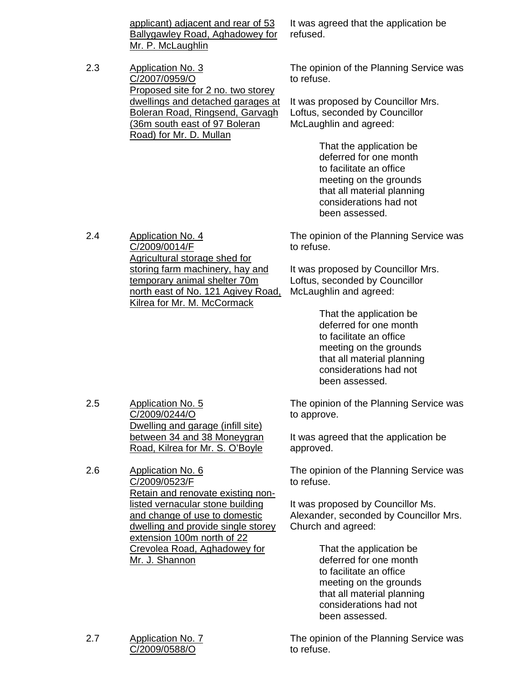applicant) adjacent and rear of 53 Ballygawley Road, Aghadowey for Mr. P. McLaughlin

2.3 Application No. 3 C/2007/0959/O Proposed site for 2 no. two storey dwellings and detached garages at Boleran Road, Ringsend, Garvagh (36m south east of 97 Boleran Road) for Mr. D. Mullan

It was agreed that the application be refused.

The opinion of the Planning Service was to refuse.

It was proposed by Councillor Mrs. Loftus, seconded by Councillor McLaughlin and agreed:

> That the application be deferred for one month to facilitate an office meeting on the grounds that all material planning considerations had not been assessed.

The opinion of the Planning Service was to refuse.

It was proposed by Councillor Mrs. Loftus, seconded by Councillor McLaughlin and agreed:

> That the application be deferred for one month to facilitate an office meeting on the grounds that all material planning considerations had not been assessed.

The opinion of the Planning Service was to approve.

It was agreed that the application be approved.

The opinion of the Planning Service was to refuse.

It was proposed by Councillor Ms. Alexander, seconded by Councillor Mrs. Church and agreed:

> That the application be deferred for one month to facilitate an office meeting on the grounds that all material planning considerations had not been assessed.

2.7 Application No. 7 C/2009/0588/O

2.5 Application No. 5

2.6 Application No. 6

C/2009/0244/O

C/2009/0523/F

Mr. J. Shannon

Dwelling and garage (infill site) between 34 and 38 Moneygran Road, Kilrea for Mr. S. O'Boyle

Retain and renovate existing nonlisted vernacular stone building and change of use to domestic dwelling and provide single storey

extension 100m north of 22 Crevolea Road, Aghadowey for

> The opinion of the Planning Service was to refuse.

2.4 Application No. 4 C/2009/0014/F Agricultural storage shed for storing farm machinery, hay and temporary animal shelter 70m north east of No. 121 Agivey Road, Kilrea for Mr. M. McCormack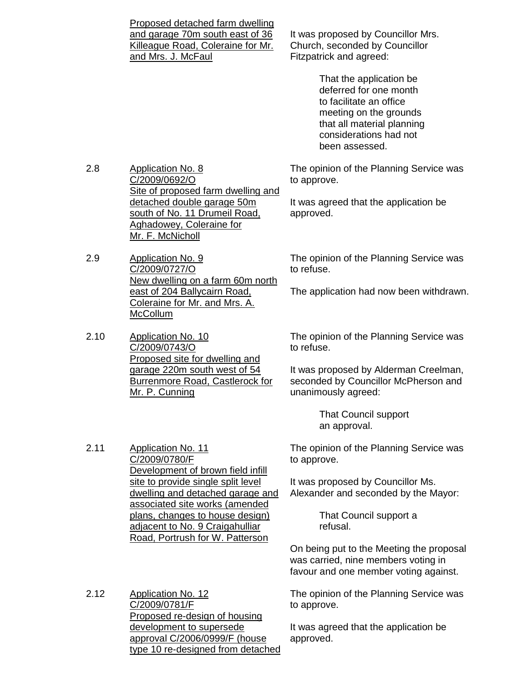|      | Proposed detached farm dwelling<br>and garage 70m south east of 36<br>Killeague Road, Coleraine for Mr.<br>and Mrs. J. McFaul                            | It was proposed by Councillor Mrs.<br>Church, seconded by Councillor<br>Fitzpatrick and agreed:                                                                                  |
|------|----------------------------------------------------------------------------------------------------------------------------------------------------------|----------------------------------------------------------------------------------------------------------------------------------------------------------------------------------|
|      |                                                                                                                                                          | That the application be<br>deferred for one month<br>to facilitate an office<br>meeting on the grounds<br>that all material planning<br>considerations had not<br>been assessed. |
| 2.8  | <b>Application No. 8</b><br>C/2009/0692/O                                                                                                                | The opinion of the Planning Service was<br>to approve.                                                                                                                           |
|      | Site of proposed farm dwelling and<br>detached double garage 50m<br>south of No. 11 Drumeil Road,<br><b>Aghadowey, Coleraine for</b><br>Mr. F. McNicholl | It was agreed that the application be<br>approved.                                                                                                                               |
| 2.9  | <b>Application No. 9</b><br>C/2009/0727/O<br>New dwelling on a farm 60m north                                                                            | The opinion of the Planning Service was<br>to refuse.                                                                                                                            |
|      | east of 204 Ballycairn Road,<br>Coleraine for Mr. and Mrs. A.<br>McCollum                                                                                | The application had now been withdrawn                                                                                                                                           |
| 2.10 | <b>Application No. 10</b><br>C/2009/0743/O                                                                                                               | The opinion of the Planning Service was<br>to refuse.                                                                                                                            |
|      | Proposed site for dwelling and<br>garage 220m south west of 54<br><b>Burrenmore Road, Castlerock for</b><br><u> Mr. P. Cunning</u>                       | It was proposed by Alderman Creelman,<br>seconded by Councillor McPherson and<br>unanimously agreed:                                                                             |
|      |                                                                                                                                                          | <b>That Council support</b><br>an approval.                                                                                                                                      |
| 2.11 | <b>Application No. 11</b><br>C/2009/0780/F                                                                                                               | The opinion of the Planning Service was<br>to approve.                                                                                                                           |
|      | Development of brown field infill<br>site to provide single split level<br>dwelling and detached garage and                                              | It was proposed by Councillor Ms.<br>Alexander and seconded by the Mayor:                                                                                                        |
|      | associated site works (amended<br>plans, changes to house design)<br>adjacent to No. 9 Craigahulliar<br>Road, Portrush for W. Patterson                  | That Council support a<br>refusal.                                                                                                                                               |
|      |                                                                                                                                                          | On being put to the Meeting the proposal<br>was carried, nine members voting in<br>favour and one member voting against.                                                         |
| 2.12 | <b>Application No. 12</b>                                                                                                                                | The opinion of the Planning Service was                                                                                                                                          |

2.12 Application No. 12 C/2009/0781/F Proposed re-design of housing development to supersede approval C/2006/0999/F (house type 10 re-designed from detached

to approve.

It was agreed that the application be approved.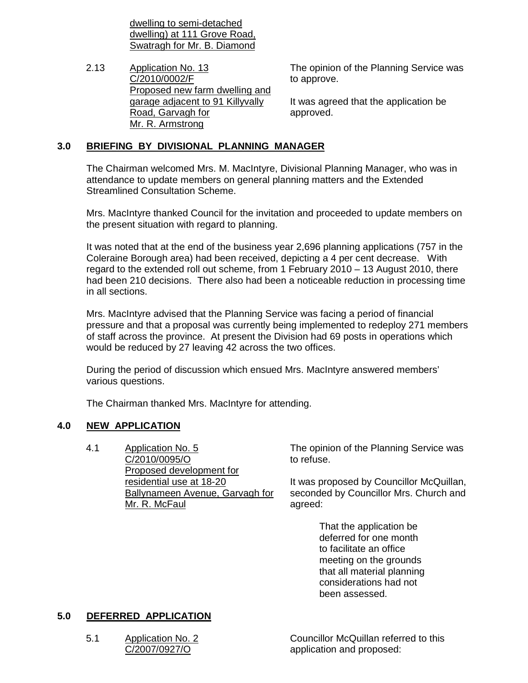dwelling to semi-detached dwelling) at 111 Grove Road, Swatragh for Mr. B. Diamond

2.13 Application No. 13 C/2010/0002/F Proposed new farm dwelling and garage adjacent to 91 Killyvally Road, Garvagh for Mr. R. Armstrong

The opinion of the Planning Service was to approve.

It was agreed that the application be approved.

## **3.0 BRIEFING BY DIVISIONAL PLANNING MANAGER**

 The Chairman welcomed Mrs. M. MacIntyre, Divisional Planning Manager, who was in attendance to update members on general planning matters and the Extended Streamlined Consultation Scheme.

 Mrs. MacIntyre thanked Council for the invitation and proceeded to update members on the present situation with regard to planning.

 It was noted that at the end of the business year 2,696 planning applications (757 in the Coleraine Borough area) had been received, depicting a 4 per cent decrease. With regard to the extended roll out scheme, from 1 February 2010 – 13 August 2010, there had been 210 decisions. There also had been a noticeable reduction in processing time in all sections.

 Mrs. MacIntyre advised that the Planning Service was facing a period of financial pressure and that a proposal was currently being implemented to redeploy 271 members of staff across the province. At present the Division had 69 posts in operations which would be reduced by 27 leaving 42 across the two offices.

 During the period of discussion which ensued Mrs. MacIntyre answered members' various questions.

The Chairman thanked Mrs. MacIntyre for attending.

# **4.0 NEW APPLICATION**

4.1 Application No. 5 C/2010/0095/O Proposed development for residential use at 18-20 Ballynameen Avenue, Garvagh for Mr. R. McFaul

The opinion of the Planning Service was to refuse.

It was proposed by Councillor McQuillan, seconded by Councillor Mrs. Church and agreed:

> That the application be deferred for one month to facilitate an office meeting on the grounds that all material planning considerations had not been assessed.

# **5.0 DEFERRED APPLICATION**

5.1 Application No. 2 C/2007/0927/O

Councillor McQuillan referred to this application and proposed: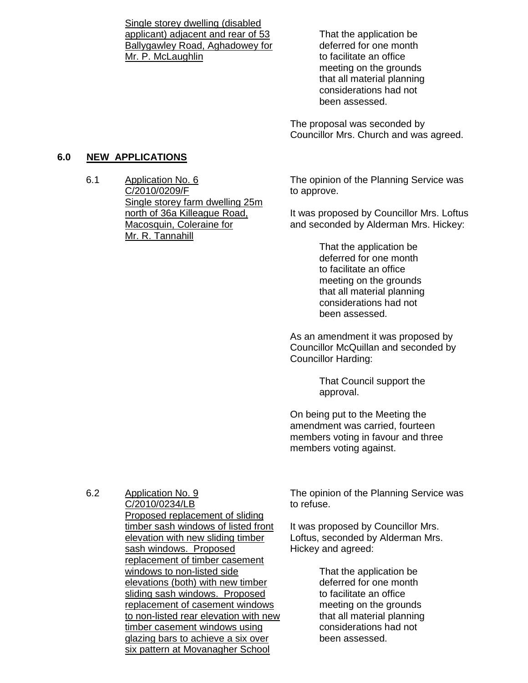Single storey dwelling (disabled applicant) adjacent and rear of 53 Ballygawley Road, Aghadowey for Mr. P. McLaughlin

 That the application be deferred for one month to facilitate an office meeting on the grounds that all material planning considerations had not been assessed.

The proposal was seconded by Councillor Mrs. Church and was agreed.

#### **6.0 NEW APPLICATIONS**

6.1 Application No. 6 C/2010/0209/F Single storey farm dwelling 25m north of 36a Killeague Road, Macosquin, Coleraine for Mr. R. Tannahill

The opinion of the Planning Service was to approve.

It was proposed by Councillor Mrs. Loftus and seconded by Alderman Mrs. Hickey:

> That the application be deferred for one month to facilitate an office meeting on the grounds that all material planning considerations had not been assessed.

As an amendment it was proposed by Councillor McQuillan and seconded by Councillor Harding:

> That Council support the approval.

On being put to the Meeting the amendment was carried, fourteen members voting in favour and three members voting against.

6.2 Application No. 9

C/2010/0234/LB Proposed replacement of sliding timber sash windows of listed front elevation with new sliding timber sash windows. Proposed replacement of timber casement windows to non-listed side elevations (both) with new timber sliding sash windows. Proposed replacement of casement windows to non-listed rear elevation with new timber casement windows using glazing bars to achieve a six over six pattern at Movanagher School

The opinion of the Planning Service was to refuse.

It was proposed by Councillor Mrs. Loftus, seconded by Alderman Mrs. Hickey and agreed:

> That the application be deferred for one month to facilitate an office meeting on the grounds that all material planning considerations had not been assessed.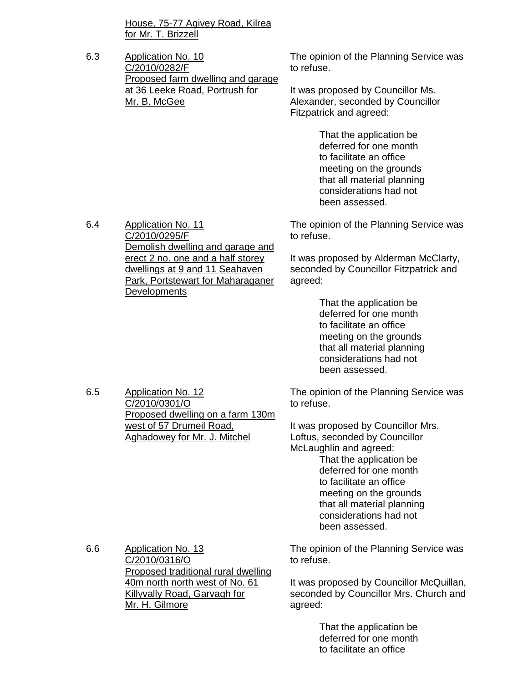House, 75-77 Agivey Road, Kilrea for Mr. T. Brizzell

6.3 Application No. 10 C/2010/0282/F Proposed farm dwelling and garage at 36 Leeke Road, Portrush for Mr. B. McGee

The opinion of the Planning Service was to refuse.

It was proposed by Councillor Ms. Alexander, seconded by Councillor Fitzpatrick and agreed:

> That the application be deferred for one month to facilitate an office meeting on the grounds that all material planning considerations had not been assessed.

The opinion of the Planning Service was to refuse.

It was proposed by Alderman McClarty, seconded by Councillor Fitzpatrick and agreed:

> That the application be deferred for one month to facilitate an office meeting on the grounds that all material planning considerations had not been assessed.

The opinion of the Planning Service was to refuse.

It was proposed by Councillor Mrs. Loftus, seconded by Councillor McLaughlin and agreed:

> That the application be deferred for one month to facilitate an office meeting on the grounds that all material planning considerations had not been assessed.

6.6 Application No. 13 C/2010/0316/O Proposed traditional rural dwelling 40m north north west of No. 61 Killyvally Road, Garvagh for Mr. H. Gilmore

The opinion of the Planning Service was to refuse.

It was proposed by Councillor McQuillan, seconded by Councillor Mrs. Church and agreed:

> That the application be deferred for one month to facilitate an office

6.4 Application No. 11 C/2010/0295/F Demolish dwelling and garage and erect 2 no. one and a half storey dwellings at 9 and 11 Seahaven Park, Portstewart for Maharaganer **Developments** 

Proposed dwelling on a farm 130m

west of 57 Drumeil Road, Aghadowey for Mr. J. Mitchel

6.5 Application No. 12 C/2010/0301/O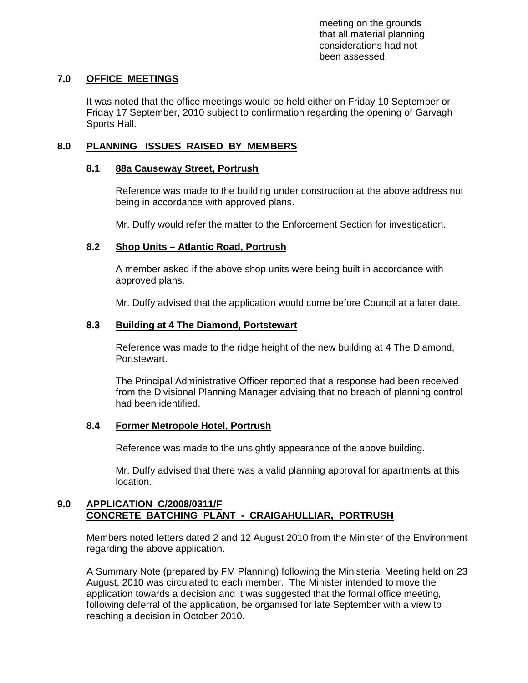meeting on the grounds that all material planning considerations had not been assessed.

## **7.0 OFFICE MEETINGS**

 It was noted that the office meetings would be held either on Friday 10 September or Friday 17 September, 2010 subject to confirmation regarding the opening of Garvagh Sports Hall.

## **8.0 PLANNING ISSUES RAISED BY MEMBERS**

#### **8.1 88a Causeway Street, Portrush**

 Reference was made to the building under construction at the above address not being in accordance with approved plans.

Mr. Duffy would refer the matter to the Enforcement Section for investigation.

#### **8.2 Shop Units – Atlantic Road, Portrush**

 A member asked if the above shop units were being built in accordance with approved plans.

Mr. Duffy advised that the application would come before Council at a later date.

#### **8.3 Building at 4 The Diamond, Portstewart**

 Reference was made to the ridge height of the new building at 4 The Diamond, Portstewart.

 The Principal Administrative Officer reported that a response had been received from the Divisional Planning Manager advising that no breach of planning control had been identified.

#### **8.4 Former Metropole Hotel, Portrush**

Reference was made to the unsightly appearance of the above building.

 Mr. Duffy advised that there was a valid planning approval for apartments at this location.

#### **9.0 APPLICATION C/2008/0311/F CONCRETE BATCHING PLANT - CRAIGAHULLIAR, PORTRUSH**

 Members noted letters dated 2 and 12 August 2010 from the Minister of the Environment regarding the above application.

 A Summary Note (prepared by FM Planning) following the Ministerial Meeting held on 23 August, 2010 was circulated to each member. The Minister intended to move the application towards a decision and it was suggested that the formal office meeting, following deferral of the application, be organised for late September with a view to reaching a decision in October 2010.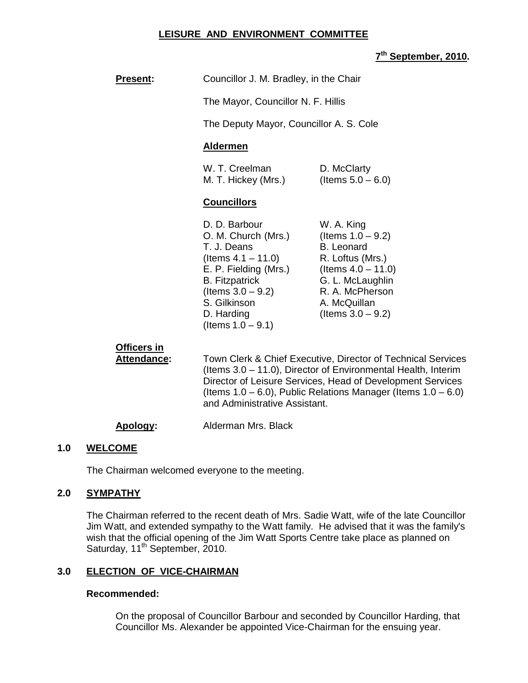#### **LEISURE AND ENVIRONMENT COMMITTEE**

## **7 th September, 2010.**

| <b>Present:</b> | Councillor J. M. Bradley, in the Chair |
|-----------------|----------------------------------------|
|                 | The Mayor, Councillor N. F. Hillis     |

The Deputy Mayor, Councillor A. S. Cole

## **Aldermen**

| W. T. Creelman      | D. McClarty          |
|---------------------|----------------------|
| M. T. Hickey (Mrs.) | (Items $5.0 - 6.0$ ) |

#### **Councillors**

| D. D. Barbour         | W. A. King            |
|-----------------------|-----------------------|
| O. M. Church (Mrs.)   | (Items $1.0 - 9.2$ )  |
| T. J. Deans           | <b>B.</b> Leonard     |
| (Items $4.1 - 11.0$ ) | R. Loftus (Mrs.)      |
| E. P. Fielding (Mrs.) | (Items $4.0 - 11.0$ ) |
| <b>B.</b> Fitzpatrick | G. L. McLaughlin      |
| (Items $3.0 - 9.2$ )  | R. A. McPherson       |
| S. Gilkinson          | A. McQuillan          |
| D. Harding            | (Items $3.0 - 9.2$ )  |
| (Items $1.0 - 9.1$ )  |                       |

## **Officers in**

**Attendance:** Town Clerk & Chief Executive, Director of Technical Services (Items 3.0 – 11.0), Director of Environmental Health, Interim Director of Leisure Services, Head of Development Services (Items  $1.0 - 6.0$ ), Public Relations Manager (Items  $1.0 - 6.0$ ) and Administrative Assistant.

#### **Apology:** Alderman Mrs. Black

#### **1.0 WELCOME**

The Chairman welcomed everyone to the meeting.

#### **2.0 SYMPATHY**

 The Chairman referred to the recent death of Mrs. Sadie Watt, wife of the late Councillor Jim Watt, and extended sympathy to the Watt family. He advised that it was the family's wish that the official opening of the Jim Watt Sports Centre take place as planned on Saturday, 11<sup>th</sup> September, 2010.

#### **3.0 ELECTION OF VICE-CHAIRMAN**

#### **Recommended:**

On the proposal of Councillor Barbour and seconded by Councillor Harding, that Councillor Ms. Alexander be appointed Vice-Chairman for the ensuing year.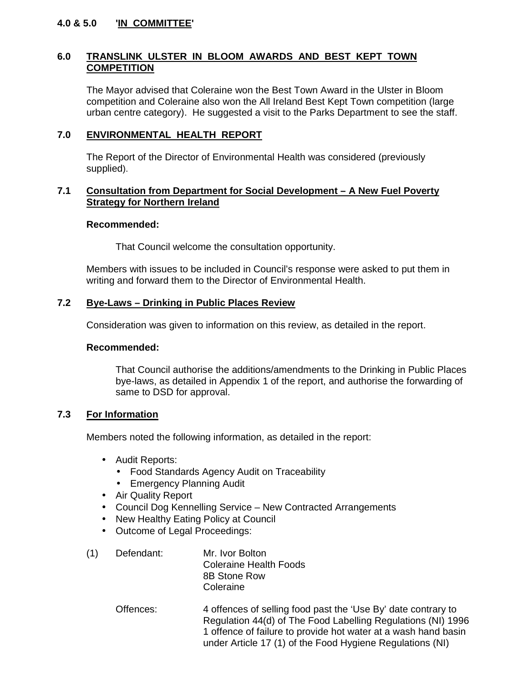## **4.0 & 5.0 'IN COMMITTEE'**

## **6.0 TRANSLINK ULSTER IN BLOOM AWARDS AND BEST KEPT TOWN COMPETITION**

 The Mayor advised that Coleraine won the Best Town Award in the Ulster in Bloom competition and Coleraine also won the All Ireland Best Kept Town competition (large urban centre category). He suggested a visit to the Parks Department to see the staff.

## **7.0 ENVIRONMENTAL HEALTH REPORT**

The Report of the Director of Environmental Health was considered (previously supplied).

#### **7.1 Consultation from Department for Social Development – A New Fuel Poverty Strategy for Northern Ireland**

#### **Recommended:**

That Council welcome the consultation opportunity.

Members with issues to be included in Council's response were asked to put them in writing and forward them to the Director of Environmental Health.

#### **7.2 Bye-Laws – Drinking in Public Places Review**

Consideration was given to information on this review, as detailed in the report.

#### **Recommended:**

That Council authorise the additions/amendments to the Drinking in Public Places bye-laws, as detailed in Appendix 1 of the report, and authorise the forwarding of same to DSD for approval.

## **7.3 For Information**

Members noted the following information, as detailed in the report:

- Audit Reports:
	- Food Standards Agency Audit on Traceability
	- Emergency Planning Audit
- Air Quality Report
- Council Dog Kennelling Service New Contracted Arrangements
- New Healthy Eating Policy at Council
- Outcome of Legal Proceedings:
- (1) Defendant: Mr. Ivor Bolton Coleraine Health Foods 8B Stone Row **Coleraine** 
	- Offences: 4 offences of selling food past the 'Use By' date contrary to Regulation 44(d) of The Food Labelling Regulations (NI) 1996 1 offence of failure to provide hot water at a wash hand basin under Article 17 (1) of the Food Hygiene Regulations (NI)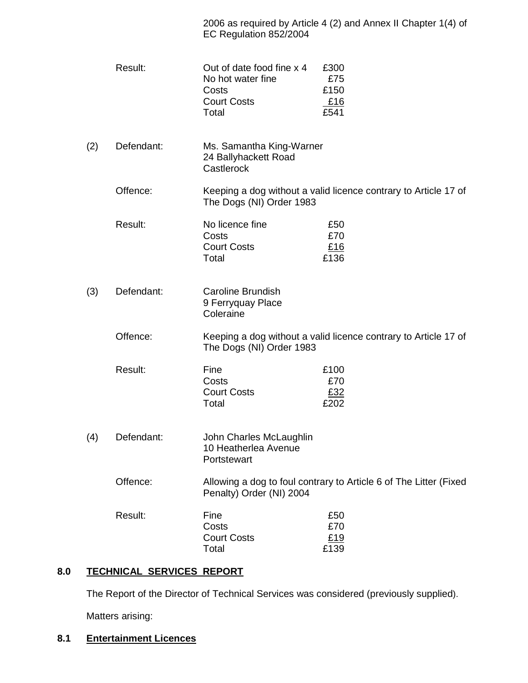| 2006 as required by Article 4 (2) and Annex II Chapter 1(4) of |
|----------------------------------------------------------------|
| EC Regulation 852/2004                                         |

|     | Result:    | Out of date food fine x 4<br>No hot water fine<br>Costs<br><b>Court Costs</b><br>Total | £300<br>£75<br>£150<br>£16<br>£541                                |
|-----|------------|----------------------------------------------------------------------------------------|-------------------------------------------------------------------|
| (2) | Defendant: | Ms. Samantha King-Warner<br>24 Ballyhackett Road<br>Castlerock                         |                                                                   |
|     | Offence:   | The Dogs (NI) Order 1983                                                               | Keeping a dog without a valid licence contrary to Article 17 of   |
|     | Result:    | No licence fine<br>Costs<br><b>Court Costs</b><br>Total                                | £50<br>£70<br>£16<br>£136                                         |
| (3) | Defendant: | <b>Caroline Brundish</b><br>9 Ferryquay Place<br>Coleraine                             |                                                                   |
|     | Offence:   | The Dogs (NI) Order 1983                                                               | Keeping a dog without a valid licence contrary to Article 17 of   |
|     | Result:    | Fine<br>Costs<br><b>Court Costs</b><br>Total                                           | £100<br>£70<br>£32<br>£202                                        |
| (4) | Defendant: | John Charles McLaughlin<br>10 Heatherlea Avenue<br>Portstewart                         |                                                                   |
|     | Offence:   | Penalty) Order (NI) 2004                                                               | Allowing a dog to foul contrary to Article 6 of The Litter (Fixed |
|     | Result:    | Fine<br>Costs<br><b>Court Costs</b><br>Total                                           | £50<br>£70<br>£19<br>£139                                         |

# **8.0 TECHNICAL SERVICES REPORT**

The Report of the Director of Technical Services was considered (previously supplied).

Matters arising:

**8.1 Entertainment Licences**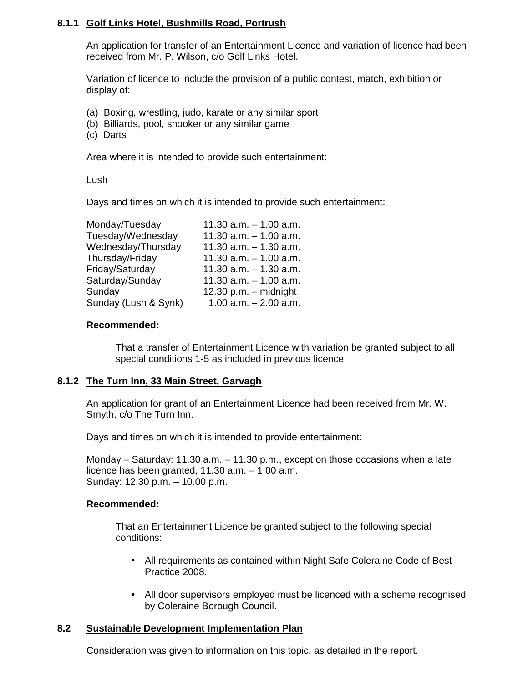## **8.1.1 Golf Links Hotel, Bushmills Road, Portrush**

An application for transfer of an Entertainment Licence and variation of licence had been received from Mr. P. Wilson, c/o Golf Links Hotel.

Variation of licence to include the provision of a public contest, match, exhibition or display of:

- (a) Boxing, wrestling, judo, karate or any similar sport
- (b) Billiards, pool, snooker or any similar game
- (c) Darts

Area where it is intended to provide such entertainment:

Lush

Days and times on which it is intended to provide such entertainment:

| Monday/Tuesday       | 11.30 $a.m. - 1.00 a.m.$   |
|----------------------|----------------------------|
| Tuesday/Wednesday    | 11.30 $a.m. - 1.00 a.m.$   |
| Wednesday/Thursday   | 11.30 $a.m. - 1.30$ $a.m.$ |
| Thursday/Friday      | 11.30 $a.m. - 1.00 a.m.$   |
| Friday/Saturday      | 11.30 $a.m. - 1.30$ $a.m.$ |
| Saturday/Sunday      | 11.30 $a.m. - 1.00 a.m.$   |
| Sunday               | 12.30 p.m. $-$ midnight    |
| Sunday (Lush & Synk) | $1.00$ a.m. $- 2.00$ a.m.  |
|                      |                            |

#### **Recommended:**

 That a transfer of Entertainment Licence with variation be granted subject to all special conditions 1-5 as included in previous licence.

#### **8.1.2 The Turn Inn, 33 Main Street, Garvagh**

An application for grant of an Entertainment Licence had been received from Mr. W. Smyth, c/o The Turn Inn.

Days and times on which it is intended to provide entertainment:

 Monday – Saturday: 11.30 a.m. – 11.30 p.m., except on those occasions when a late licence has been granted, 11.30 a.m. – 1.00 a.m. Sunday: 12.30 p.m. – 10.00 p.m.

#### **Recommended:**

 That an Entertainment Licence be granted subject to the following special conditions:

- All requirements as contained within Night Safe Coleraine Code of Best Practice 2008.
- All door supervisors employed must be licenced with a scheme recognised by Coleraine Borough Council.

#### **8.2 Sustainable Development Implementation Plan**

Consideration was given to information on this topic, as detailed in the report.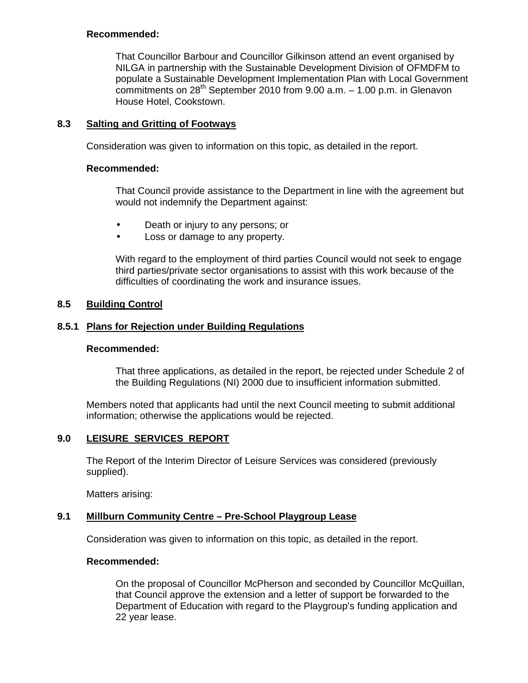#### **Recommended:**

 That Councillor Barbour and Councillor Gilkinson attend an event organised by NILGA in partnership with the Sustainable Development Division of OFMDFM to populate a Sustainable Development Implementation Plan with Local Government commitments on  $28^{th}$  September 2010 from 9.00 a.m.  $-1.00$  p.m. in Glenavon House Hotel, Cookstown.

## **8.3 Salting and Gritting of Footways**

Consideration was given to information on this topic, as detailed in the report.

#### **Recommended:**

 That Council provide assistance to the Department in line with the agreement but would not indemnify the Department against:

- Death or injury to any persons; or
- Loss or damage to any property.

 With regard to the employment of third parties Council would not seek to engage third parties/private sector organisations to assist with this work because of the difficulties of coordinating the work and insurance issues.

## **8.5 Building Control**

## **8.5.1 Plans for Rejection under Building Regulations**

#### **Recommended:**

 That three applications, as detailed in the report, be rejected under Schedule 2 of the Building Regulations (NI) 2000 due to insufficient information submitted.

 Members noted that applicants had until the next Council meeting to submit additional information; otherwise the applications would be rejected.

#### **9.0 LEISURE SERVICES REPORT**

 The Report of the Interim Director of Leisure Services was considered (previously supplied).

Matters arising:

#### **9.1 Millburn Community Centre – Pre-School Playgroup Lease**

Consideration was given to information on this topic, as detailed in the report.

#### **Recommended:**

On the proposal of Councillor McPherson and seconded by Councillor McQuillan, that Council approve the extension and a letter of support be forwarded to the Department of Education with regard to the Playgroup's funding application and 22 year lease.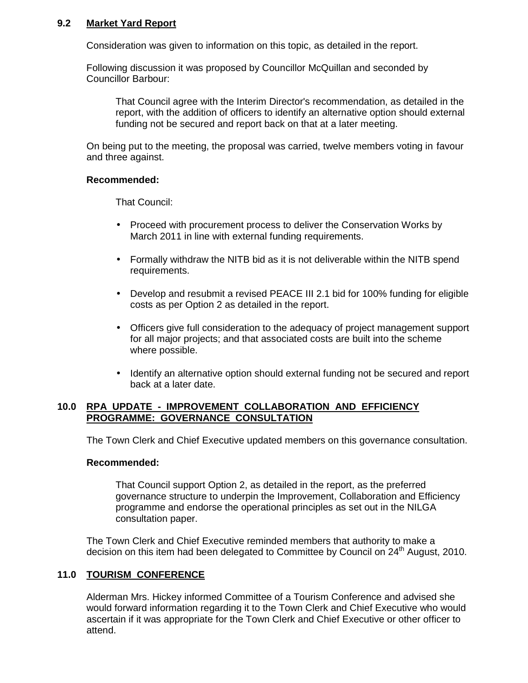#### **9.2 Market Yard Report**

Consideration was given to information on this topic, as detailed in the report.

Following discussion it was proposed by Councillor McQuillan and seconded by Councillor Barbour:

 That Council agree with the Interim Director's recommendation, as detailed in the report, with the addition of officers to identify an alternative option should external funding not be secured and report back on that at a later meeting.

 On being put to the meeting, the proposal was carried, twelve members voting in favour and three against.

#### **Recommended:**

That Council:

- Proceed with procurement process to deliver the Conservation Works by March 2011 in line with external funding requirements.
- Formally withdraw the NITB bid as it is not deliverable within the NITB spend requirements.
- Develop and resubmit a revised PEACE III 2.1 bid for 100% funding for eligible costs as per Option 2 as detailed in the report.
- Officers give full consideration to the adequacy of project management support for all major projects; and that associated costs are built into the scheme where possible.
- Identify an alternative option should external funding not be secured and report back at a later date.

#### **10.0 RPA UPDATE - IMPROVEMENT COLLABORATION AND EFFICIENCY PROGRAMME: GOVERNANCE CONSULTATION**

The Town Clerk and Chief Executive updated members on this governance consultation.

#### **Recommended:**

That Council support Option 2, as detailed in the report, as the preferred governance structure to underpin the Improvement, Collaboration and Efficiency programme and endorse the operational principles as set out in the NILGA consultation paper.

The Town Clerk and Chief Executive reminded members that authority to make a decision on this item had been delegated to Committee by Council on 24<sup>th</sup> August, 2010.

#### **11.0 TOURISM CONFERENCE**

Alderman Mrs. Hickey informed Committee of a Tourism Conference and advised she would forward information regarding it to the Town Clerk and Chief Executive who would ascertain if it was appropriate for the Town Clerk and Chief Executive or other officer to attend.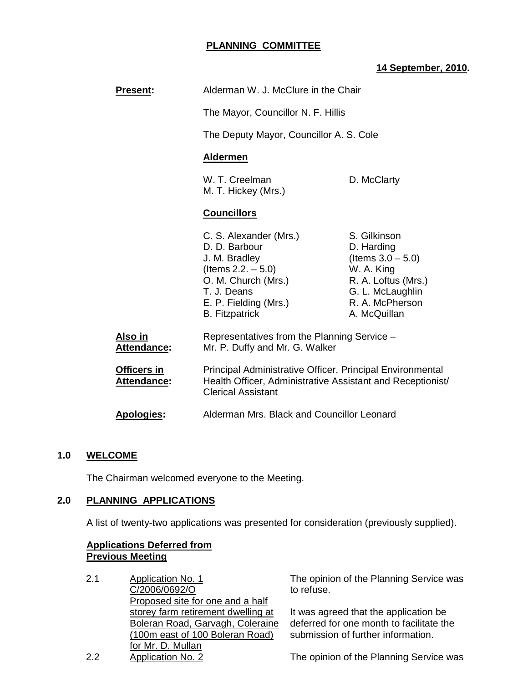## **PLANNING COMMITTEE**

## **14 September, 2010.**

| <b>Present:</b>                          | Alderman W. J. McClure in the Chair<br>The Mayor, Councillor N. F. Hillis                                                                                                 |                                                                                                                                                |
|------------------------------------------|---------------------------------------------------------------------------------------------------------------------------------------------------------------------------|------------------------------------------------------------------------------------------------------------------------------------------------|
|                                          |                                                                                                                                                                           |                                                                                                                                                |
|                                          | The Deputy Mayor, Councillor A. S. Cole                                                                                                                                   |                                                                                                                                                |
|                                          | <b>Aldermen</b>                                                                                                                                                           |                                                                                                                                                |
|                                          | W. T. Creelman<br>M. T. Hickey (Mrs.)                                                                                                                                     | D. McClarty                                                                                                                                    |
|                                          | <b>Councillors</b>                                                                                                                                                        |                                                                                                                                                |
|                                          | C. S. Alexander (Mrs.)<br>D. D. Barbour<br>J. M. Bradley<br>(Items $2.2. - 5.0$ )<br>O. M. Church (Mrs.)<br>T. J. Deans<br>E. P. Fielding (Mrs.)<br><b>B.</b> Fitzpatrick | S. Gilkinson<br>D. Harding<br>(Items $3.0 - 5.0$ )<br>W. A. King<br>R. A. Loftus (Mrs.)<br>G. L. McLaughlin<br>R. A. McPherson<br>A. McQuillan |
| Also in<br>Attendance:                   | Representatives from the Planning Service -<br>Mr. P. Duffy and Mr. G. Walker                                                                                             |                                                                                                                                                |
| <b>Officers in</b><br><b>Attendance:</b> | Principal Administrative Officer, Principal Environmental<br>Health Officer, Administrative Assistant and Receptionist/<br><b>Clerical Assistant</b>                      |                                                                                                                                                |
| <b>Apologies:</b>                        | Alderman Mrs. Black and Councillor Leonard                                                                                                                                |                                                                                                                                                |

#### **1.0 WELCOME**

The Chairman welcomed everyone to the Meeting.

## **2.0 PLANNING APPLICATIONS**

A list of twenty-two applications was presented for consideration (previously supplied).

#### **Applications Deferred from Previous Meeting**

| 2.1 | <b>Application No. 1</b>           |
|-----|------------------------------------|
|     | C/2006/0692/O                      |
|     | Proposed site for one and a half   |
|     | storey farm retirement dwelling at |
|     | Boleran Road, Garvagh, Coleraine   |
|     | (100m east of 100 Boleran Road)    |
|     | for Mr. D. Mullan                  |
| 2.2 | <b>Application No. 2</b>           |

The opinion of the Planning Service was to refuse.

It was agreed that the application be deferred for one month to facilitate the submission of further information.

The opinion of the Planning Service was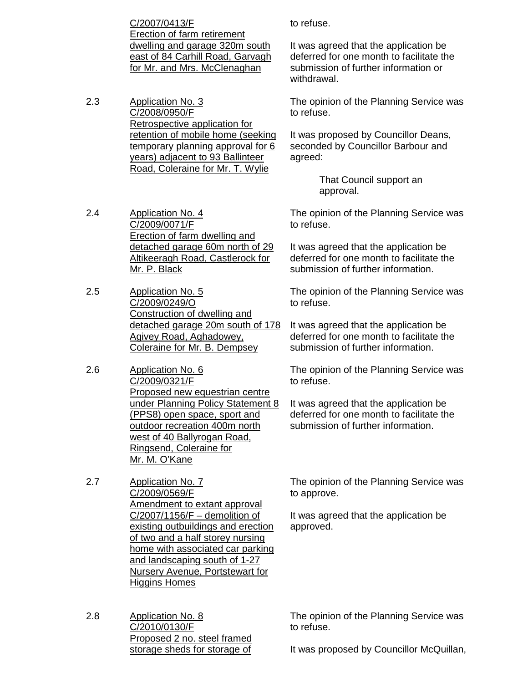C/2007/0413/F Erection of farm retirement dwelling and garage 320m south east of 84 Carhill Road, Garvagh for Mr. and Mrs. McClenaghan

2.3 Application No. 3 C/2008/0950/F Retrospective application for retention of mobile home (seeking temporary planning approval for 6 years) adjacent to 93 Ballinteer Road, Coleraine for Mr. T. Wylie

to refuse.

It was agreed that the application be deferred for one month to facilitate the submission of further information or withdrawal.

The opinion of the Planning Service was to refuse.

It was proposed by Councillor Deans, seconded by Councillor Barbour and agreed:

> That Council support an approval.

2.4 Application No. 4 C/2009/0071/F Erection of farm dwelling and detached garage 60m north of 29 Altikeeragh Road, Castlerock for Mr. P. Black

- 2.5 Application No. 5 C/2009/0249/O Construction of dwelling and detached garage 20m south of 178 Agivey Road, Aghadowey, Coleraine for Mr. B. Dempsey
- 2.6 Application No. 6 C/2009/0321/F Proposed new equestrian centre under Planning Policy Statement 8 (PPS8) open space, sport and outdoor recreation 400m north west of 40 Ballyrogan Road, Ringsend, Coleraine for Mr. M. O'Kane
- 2.7 Application No. 7 C/2009/0569/F Amendment to extant approval C/2007/1156/F – demolition of existing outbuildings and erection of two and a half storey nursing home with associated car parking and landscaping south of 1-27 Nursery Avenue, Portstewart for Higgins Homes
- 2.8 Application No. 8 C/2010/0130/F Proposed 2 no. steel framed storage sheds for storage of

The opinion of the Planning Service was to refuse.

It was agreed that the application be deferred for one month to facilitate the submission of further information.

The opinion of the Planning Service was to refuse.

It was agreed that the application be deferred for one month to facilitate the submission of further information.

The opinion of the Planning Service was to refuse.

It was agreed that the application be deferred for one month to facilitate the submission of further information.

The opinion of the Planning Service was to approve.

It was agreed that the application be approved.

The opinion of the Planning Service was to refuse.

It was proposed by Councillor McQuillan,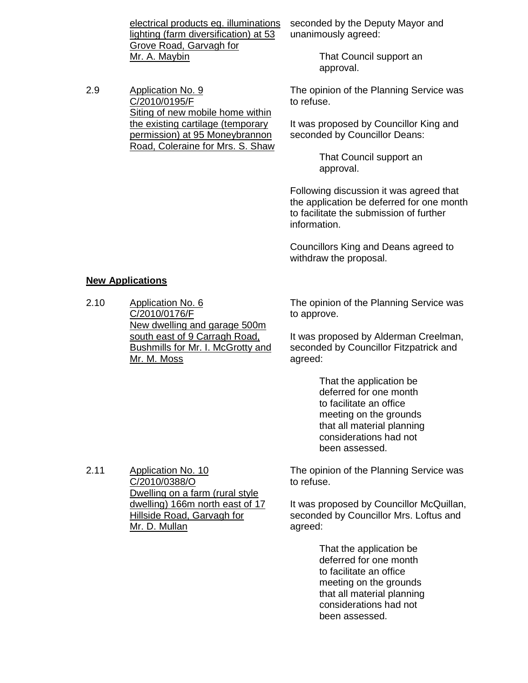electrical products eg. illuminations lighting (farm diversification) at 53 Grove Road, Garvagh for Mr. A. Maybin

2.9 Application No. 9 C/2010/0195/F Siting of new mobile home within the existing cartilage (temporary permission) at 95 Moneybrannon Road, Coleraine for Mrs. S. Shaw seconded by the Deputy Mayor and unanimously agreed:

> That Council support an approval.

The opinion of the Planning Service was to refuse.

It was proposed by Councillor King and seconded by Councillor Deans:

> That Council support an approval.

Following discussion it was agreed that the application be deferred for one month to facilitate the submission of further information.

Councillors King and Deans agreed to withdraw the proposal.

#### **New Applications**

2.10 Application No. 6 C/2010/0176/F New dwelling and garage 500m south east of 9 Carragh Road, Bushmills for Mr. I. McGrotty and Mr. M. Moss

The opinion of the Planning Service was to approve.

It was proposed by Alderman Creelman, seconded by Councillor Fitzpatrick and agreed:

> That the application be deferred for one month to facilitate an office meeting on the grounds that all material planning considerations had not been assessed.

The opinion of the Planning Service was to refuse.

It was proposed by Councillor McQuillan, seconded by Councillor Mrs. Loftus and agreed:

> That the application be deferred for one month to facilitate an office meeting on the grounds that all material planning considerations had not been assessed.

2.11 Application No. 10 C/2010/0388/O Dwelling on a farm (rural style dwelling) 166m north east of 17 Hillside Road, Garvagh for Mr. D. Mullan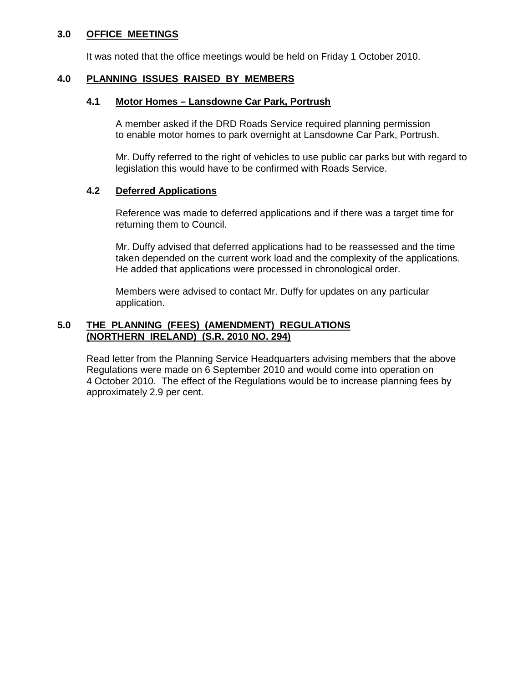#### **3.0 OFFICE MEETINGS**

It was noted that the office meetings would be held on Friday 1 October 2010.

#### **4.0 PLANNING ISSUES RAISED BY MEMBERS**

#### **4.1 Motor Homes – Lansdowne Car Park, Portrush**

A member asked if the DRD Roads Service required planning permission to enable motor homes to park overnight at Lansdowne Car Park, Portrush.

 Mr. Duffy referred to the right of vehicles to use public car parks but with regard to legislation this would have to be confirmed with Roads Service.

#### **4.2 Deferred Applications**

Reference was made to deferred applications and if there was a target time for returning them to Council.

 Mr. Duffy advised that deferred applications had to be reassessed and the time taken depended on the current work load and the complexity of the applications. He added that applications were processed in chronological order.

 Members were advised to contact Mr. Duffy for updates on any particular application.

#### **5.0 THE PLANNING (FEES) (AMENDMENT) REGULATIONS (NORTHERN IRELAND) (S.R. 2010 NO. 294)**

 Read letter from the Planning Service Headquarters advising members that the above Regulations were made on 6 September 2010 and would come into operation on 4 October 2010. The effect of the Regulations would be to increase planning fees by approximately 2.9 per cent.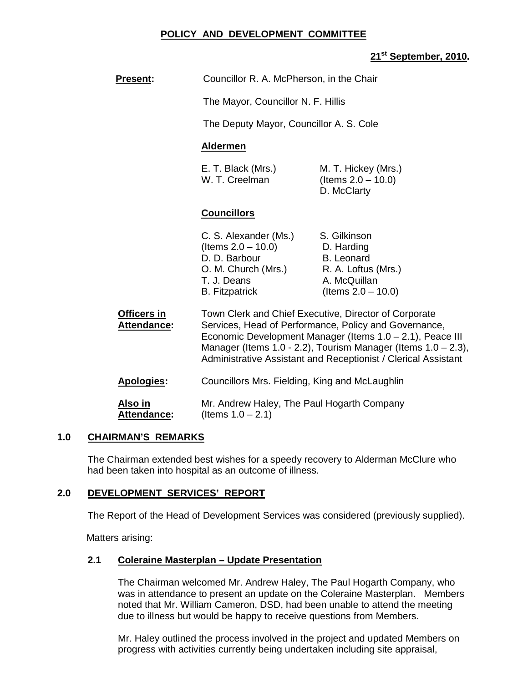## **POLICY AND DEVELOPMENT COMMITTEE**

# **21st September, 2010.**

| <b>Present:</b>                   | Councillor R. A. McPherson, in the Chair                                                                                                                                                                                                                                                                          |                                                                                                                 |
|-----------------------------------|-------------------------------------------------------------------------------------------------------------------------------------------------------------------------------------------------------------------------------------------------------------------------------------------------------------------|-----------------------------------------------------------------------------------------------------------------|
|                                   | The Mayor, Councillor N. F. Hillis                                                                                                                                                                                                                                                                                |                                                                                                                 |
|                                   | The Deputy Mayor, Councillor A. S. Cole                                                                                                                                                                                                                                                                           |                                                                                                                 |
|                                   | <b>Aldermen</b>                                                                                                                                                                                                                                                                                                   |                                                                                                                 |
|                                   | E. T. Black (Mrs.)<br>W. T. Creelman                                                                                                                                                                                                                                                                              | M. T. Hickey (Mrs.)<br>(Items $2.0 - 10.0$ )<br>D. McClarty                                                     |
|                                   | <b>Councillors</b>                                                                                                                                                                                                                                                                                                |                                                                                                                 |
|                                   | C. S. Alexander (Ms.)<br>(Items $2.0 - 10.0$ )<br>D. D. Barbour<br>O. M. Church (Mrs.)<br>T. J. Deans<br><b>B.</b> Fitzpatrick                                                                                                                                                                                    | S. Gilkinson<br>D. Harding<br><b>B.</b> Leonard<br>R. A. Loftus (Mrs.)<br>A. McQuillan<br>(Items $2.0 - 10.0$ ) |
| Officers in<br><b>Attendance:</b> | Town Clerk and Chief Executive, Director of Corporate<br>Services, Head of Performance, Policy and Governance,<br>Economic Development Manager (Items 1.0 - 2.1), Peace III<br>Manager (Items 1.0 - 2.2), Tourism Manager (Items $1.0 - 2.3$ ),<br>Administrative Assistant and Receptionist / Clerical Assistant |                                                                                                                 |
| Apologies:                        | Councillors Mrs. Fielding, King and McLaughlin                                                                                                                                                                                                                                                                    |                                                                                                                 |
| Also in<br><b>Attendance:</b>     | Mr. Andrew Haley, The Paul Hogarth Company<br>(Items $1.0 - 2.1$ )                                                                                                                                                                                                                                                |                                                                                                                 |

#### **1.0 CHAIRMAN'S REMARKS**

 The Chairman extended best wishes for a speedy recovery to Alderman McClure who had been taken into hospital as an outcome of illness.

#### **2.0 DEVELOPMENT SERVICES' REPORT**

The Report of the Head of Development Services was considered (previously supplied).

Matters arising:

#### **2.1 Coleraine Masterplan – Update Presentation**

The Chairman welcomed Mr. Andrew Haley, The Paul Hogarth Company, who was in attendance to present an update on the Coleraine Masterplan.Members noted that Mr. William Cameron, DSD, had been unable to attend the meeting due to illness but would be happy to receive questions from Members.

Mr. Haley outlined the process involved in the project and updated Members on progress with activities currently being undertaken including site appraisal,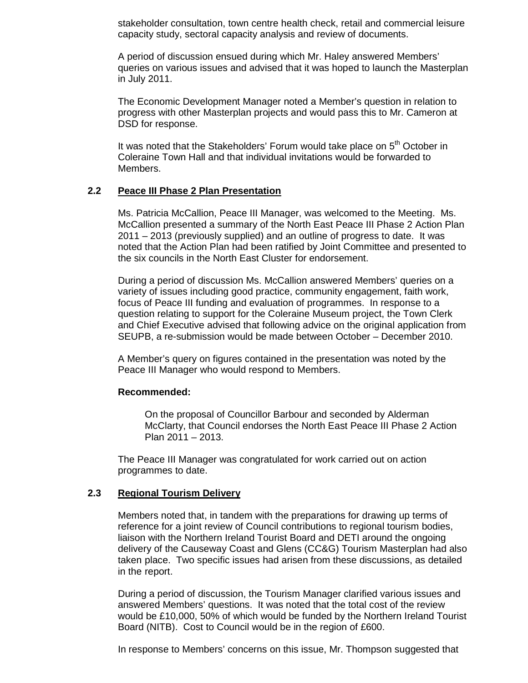stakeholder consultation, town centre health check, retail and commercial leisure capacity study, sectoral capacity analysis and review of documents.

A period of discussion ensued during which Mr. Haley answered Members' queries on various issues and advised that it was hoped to launch the Masterplan in July 2011.

The Economic Development Manager noted a Member's question in relation to progress with other Masterplan projects and would pass this to Mr. Cameron at DSD for response.

It was noted that the Stakeholders' Forum would take place on  $5<sup>th</sup>$  October in Coleraine Town Hall and that individual invitations would be forwarded to Members.

#### **2.2 Peace III Phase 2 Plan Presentation**

Ms. Patricia McCallion, Peace III Manager, was welcomed to the Meeting. Ms. McCallion presented a summary of the North East Peace III Phase 2 Action Plan 2011 – 2013 (previously supplied) and an outline of progress to date. It was noted that the Action Plan had been ratified by Joint Committee and presented to the six councils in the North East Cluster for endorsement.

During a period of discussion Ms. McCallion answered Members' queries on a variety of issues including good practice, community engagement, faith work, focus of Peace III funding and evaluation of programmes. In response to a question relating to support for the Coleraine Museum project, the Town Clerk and Chief Executive advised that following advice on the original application from SEUPB, a re-submission would be made between October – December 2010.

A Member's query on figures contained in the presentation was noted by the Peace III Manager who would respond to Members.

#### **Recommended:**

On the proposal of Councillor Barbour and seconded by Alderman McClarty, that Council endorses the North East Peace III Phase 2 Action Plan 2011 – 2013.

The Peace III Manager was congratulated for work carried out on action programmes to date.

#### **2.3 Regional Tourism Delivery**

 Members noted that, in tandem with the preparations for drawing up terms of reference for a joint review of Council contributions to regional tourism bodies, liaison with the Northern Ireland Tourist Board and DETI around the ongoing delivery of the Causeway Coast and Glens (CC&G) Tourism Masterplan had also taken place. Two specific issues had arisen from these discussions, as detailed in the report.

 During a period of discussion, the Tourism Manager clarified various issues and answered Members' questions. It was noted that the total cost of the review would be £10,000, 50% of which would be funded by the Northern Ireland Tourist Board (NITB). Cost to Council would be in the region of £600.

In response to Members' concerns on this issue, Mr. Thompson suggested that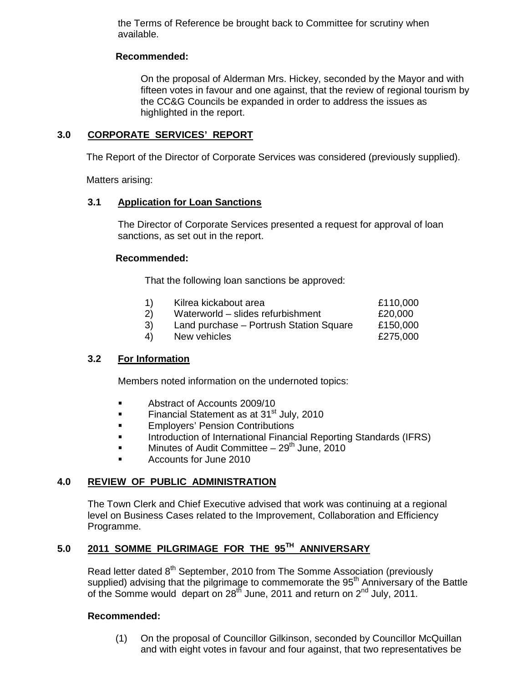the Terms of Reference be brought back to Committee for scrutiny when available.

## **Recommended:**

On the proposal of Alderman Mrs. Hickey, seconded by the Mayor and with fifteen votes in favour and one against, that the review of regional tourism by the CC&G Councils be expanded in order to address the issues as highlighted in the report.

## **3.0 CORPORATE SERVICES' REPORT**

The Report of the Director of Corporate Services was considered (previously supplied).

Matters arising:

#### **3.1 Application for Loan Sanctions**

The Director of Corporate Services presented a request for approval of loan sanctions, as set out in the report.

#### **Recommended:**

That the following loan sanctions be approved:

- 1) Kilrea kickabout area £110,000 2) Waterworld – slides refurbishment £20,000
- 3) Land purchase Portrush Station Square £150,000
- 4) New vehicles **E275,000**

# **3.2 For Information**

Members noted information on the undernoted topics:

- **Abstract of Accounts 2009/10**
- Financial Statement as at 31<sup>st</sup> July, 2010
- **Employers' Pension Contributions**
- **Introduction of International Financial Reporting Standards (IFRS)**
- **Minutes of Audit Committee 29<sup>th</sup> June, 2010**
- **Accounts for June 2010**

#### **4.0 REVIEW OF PUBLIC ADMINISTRATION**

The Town Clerk and Chief Executive advised that work was continuing at a regional level on Business Cases related to the Improvement, Collaboration and Efficiency Programme.

# **5.0 2011 SOMME PILGRIMAGE FOR THE 95TH ANNIVERSARY**

Read letter dated 8<sup>th</sup> September, 2010 from The Somme Association (previously supplied) advising that the pilgrimage to commemorate the 95<sup>th</sup> Anniversary of the Battle of the Somme would depart on  $28^{t}$  June, 2011 and return on  $2^{nd}$  July, 2011.

#### **Recommended:**

(1) On the proposal of Councillor Gilkinson, seconded by Councillor McQuillan and with eight votes in favour and four against, that two representatives be